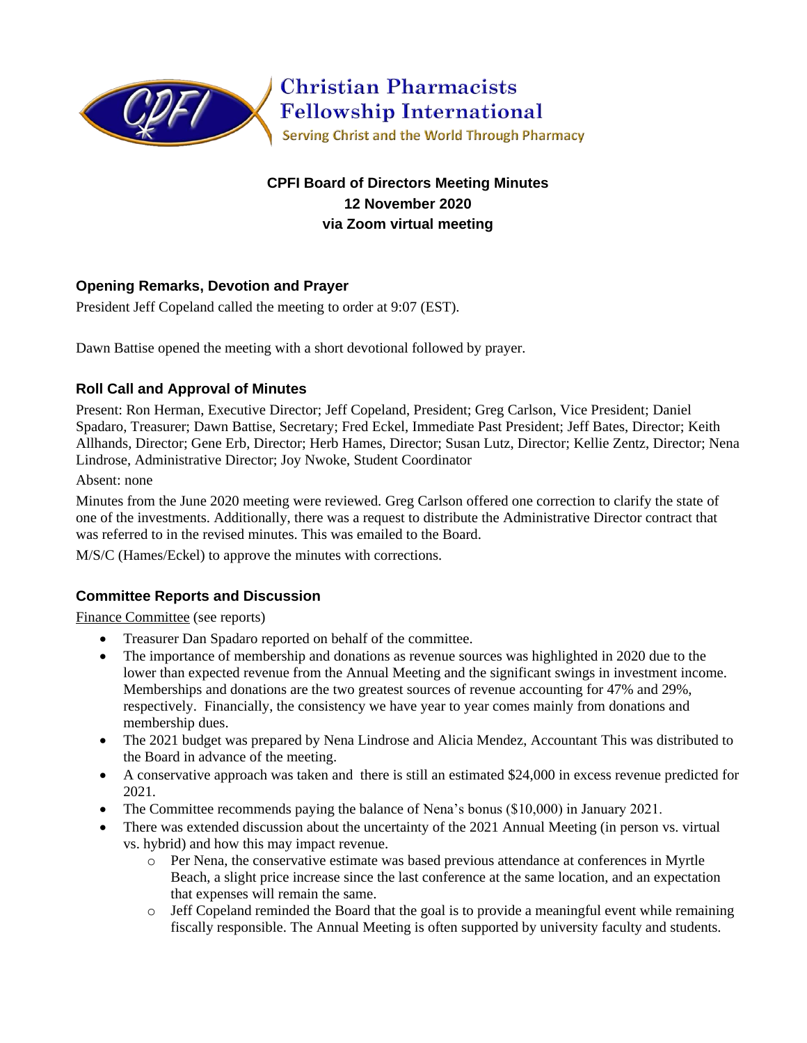

**Christian Pharmacists Fellowship International** Serving Christ and the World Through Pharmacy

# **CPFI Board of Directors Meeting Minutes 12 November 2020 via Zoom virtual meeting**

# **Opening Remarks, Devotion and Prayer**

President Jeff Copeland called the meeting to order at 9:07 (EST).

Dawn Battise opened the meeting with a short devotional followed by prayer.

## **Roll Call and Approval of Minutes**

Present: Ron Herman, Executive Director; Jeff Copeland, President; Greg Carlson, Vice President; Daniel Spadaro, Treasurer; Dawn Battise, Secretary; Fred Eckel, Immediate Past President; Jeff Bates, Director; Keith Allhands, Director; Gene Erb, Director; Herb Hames, Director; Susan Lutz, Director; Kellie Zentz, Director; Nena Lindrose, Administrative Director; Joy Nwoke, Student Coordinator

Absent: none

Minutes from the June 2020 meeting were reviewed. Greg Carlson offered one correction to clarify the state of one of the investments. Additionally, there was a request to distribute the Administrative Director contract that was referred to in the revised minutes. This was emailed to the Board.

M/S/C (Hames/Eckel) to approve the minutes with corrections.

# **Committee Reports and Discussion**

Finance Committee (see reports)

- Treasurer Dan Spadaro reported on behalf of the committee.
- The importance of membership and donations as revenue sources was highlighted in 2020 due to the lower than expected revenue from the Annual Meeting and the significant swings in investment income. Memberships and donations are the two greatest sources of revenue accounting for 47% and 29%, respectively. Financially, the consistency we have year to year comes mainly from donations and membership dues.
- The 2021 budget was prepared by Nena Lindrose and Alicia Mendez, Accountant This was distributed to the Board in advance of the meeting.
- A conservative approach was taken and there is still an estimated \$24,000 in excess revenue predicted for 2021.
- The Committee recommends paying the balance of Nena's bonus (\$10,000) in January 2021.
- There was extended discussion about the uncertainty of the 2021 Annual Meeting (in person vs. virtual vs. hybrid) and how this may impact revenue.
	- o Per Nena, the conservative estimate was based previous attendance at conferences in Myrtle Beach, a slight price increase since the last conference at the same location, and an expectation that expenses will remain the same.
	- $\circ$  Jeff Copeland reminded the Board that the goal is to provide a meaningful event while remaining fiscally responsible. The Annual Meeting is often supported by university faculty and students.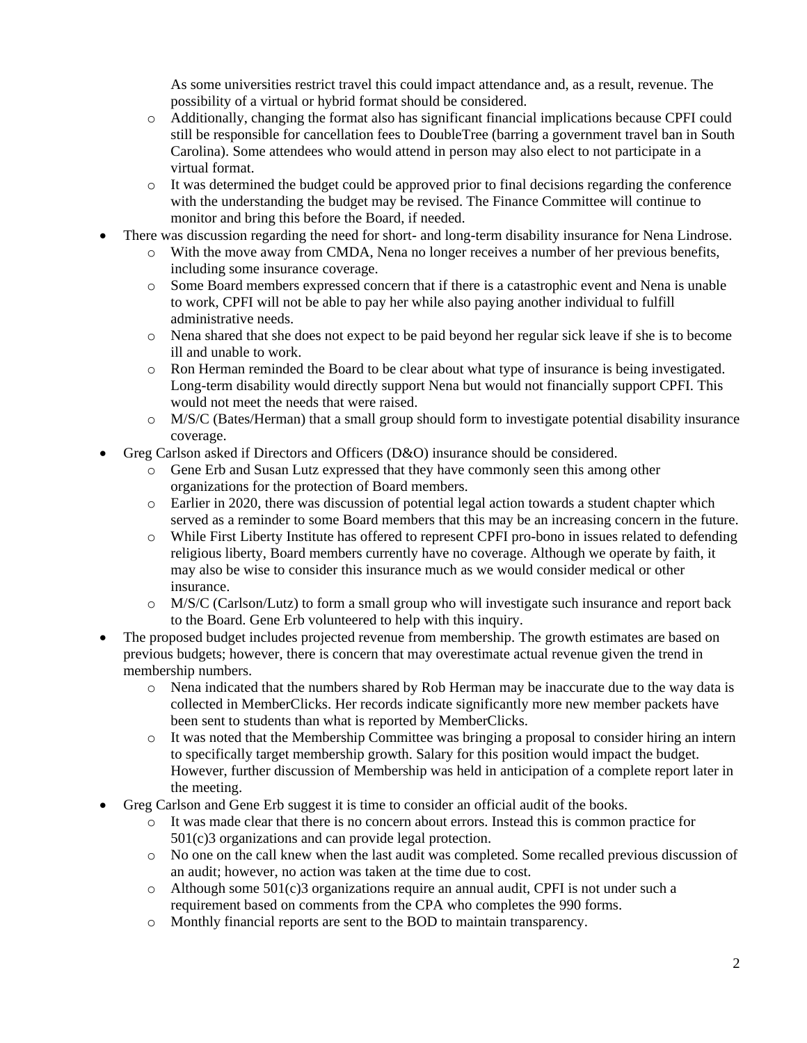As some universities restrict travel this could impact attendance and, as a result, revenue. The possibility of a virtual or hybrid format should be considered.

- o Additionally, changing the format also has significant financial implications because CPFI could still be responsible for cancellation fees to DoubleTree (barring a government travel ban in South Carolina). Some attendees who would attend in person may also elect to not participate in a virtual format.
- o It was determined the budget could be approved prior to final decisions regarding the conference with the understanding the budget may be revised. The Finance Committee will continue to monitor and bring this before the Board, if needed.
- There was discussion regarding the need for short- and long-term disability insurance for Nena Lindrose.
	- o With the move away from CMDA, Nena no longer receives a number of her previous benefits, including some insurance coverage.
	- o Some Board members expressed concern that if there is a catastrophic event and Nena is unable to work, CPFI will not be able to pay her while also paying another individual to fulfill administrative needs.
	- o Nena shared that she does not expect to be paid beyond her regular sick leave if she is to become ill and unable to work.
	- o Ron Herman reminded the Board to be clear about what type of insurance is being investigated. Long-term disability would directly support Nena but would not financially support CPFI. This would not meet the needs that were raised.
	- o M/S/C (Bates/Herman) that a small group should form to investigate potential disability insurance coverage.
- Greg Carlson asked if Directors and Officers (D&O) insurance should be considered.
	- o Gene Erb and Susan Lutz expressed that they have commonly seen this among other organizations for the protection of Board members.
	- o Earlier in 2020, there was discussion of potential legal action towards a student chapter which served as a reminder to some Board members that this may be an increasing concern in the future.
	- o While First Liberty Institute has offered to represent CPFI pro-bono in issues related to defending religious liberty, Board members currently have no coverage. Although we operate by faith, it may also be wise to consider this insurance much as we would consider medical or other insurance.
	- o M/S/C (Carlson/Lutz) to form a small group who will investigate such insurance and report back to the Board. Gene Erb volunteered to help with this inquiry.
- The proposed budget includes projected revenue from membership. The growth estimates are based on previous budgets; however, there is concern that may overestimate actual revenue given the trend in membership numbers.
	- o Nena indicated that the numbers shared by Rob Herman may be inaccurate due to the way data is collected in MemberClicks. Her records indicate significantly more new member packets have been sent to students than what is reported by MemberClicks.
	- o It was noted that the Membership Committee was bringing a proposal to consider hiring an intern to specifically target membership growth. Salary for this position would impact the budget. However, further discussion of Membership was held in anticipation of a complete report later in the meeting.
- Greg Carlson and Gene Erb suggest it is time to consider an official audit of the books.
	- o It was made clear that there is no concern about errors. Instead this is common practice for 501(c)3 organizations and can provide legal protection.
	- o No one on the call knew when the last audit was completed. Some recalled previous discussion of an audit; however, no action was taken at the time due to cost.
	- $\circ$  Although some 501(c)3 organizations require an annual audit, CPFI is not under such a requirement based on comments from the CPA who completes the 990 forms.
	- o Monthly financial reports are sent to the BOD to maintain transparency.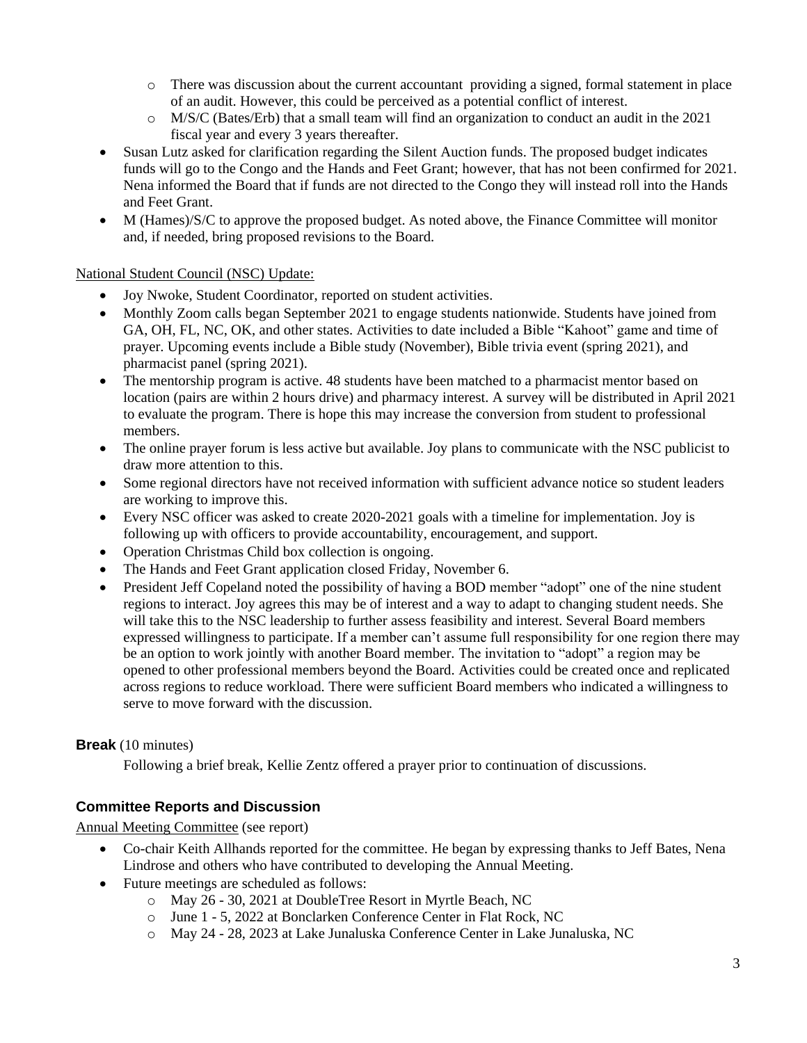- $\circ$  There was discussion about the current accountant providing a signed, formal statement in place of an audit. However, this could be perceived as a potential conflict of interest.
- o M/S/C (Bates/Erb) that a small team will find an organization to conduct an audit in the 2021 fiscal year and every 3 years thereafter.
- Susan Lutz asked for clarification regarding the Silent Auction funds. The proposed budget indicates funds will go to the Congo and the Hands and Feet Grant; however, that has not been confirmed for 2021. Nena informed the Board that if funds are not directed to the Congo they will instead roll into the Hands and Feet Grant.
- M (Hames)/S/C to approve the proposed budget. As noted above, the Finance Committee will monitor and, if needed, bring proposed revisions to the Board.

#### National Student Council (NSC) Update:

- Joy Nwoke, Student Coordinator, reported on student activities.
- Monthly Zoom calls began September 2021 to engage students nationwide. Students have joined from GA, OH, FL, NC, OK, and other states. Activities to date included a Bible "Kahoot" game and time of prayer. Upcoming events include a Bible study (November), Bible trivia event (spring 2021), and pharmacist panel (spring 2021).
- The mentorship program is active. 48 students have been matched to a pharmacist mentor based on location (pairs are within 2 hours drive) and pharmacy interest. A survey will be distributed in April 2021 to evaluate the program. There is hope this may increase the conversion from student to professional members.
- The online prayer forum is less active but available. Joy plans to communicate with the NSC publicist to draw more attention to this.
- Some regional directors have not received information with sufficient advance notice so student leaders are working to improve this.
- Every NSC officer was asked to create 2020-2021 goals with a timeline for implementation. Joy is following up with officers to provide accountability, encouragement, and support.
- Operation Christmas Child box collection is ongoing.
- The Hands and Feet Grant application closed Friday, November 6.
- President Jeff Copeland noted the possibility of having a BOD member "adopt" one of the nine student regions to interact. Joy agrees this may be of interest and a way to adapt to changing student needs. She will take this to the NSC leadership to further assess feasibility and interest. Several Board members expressed willingness to participate. If a member can't assume full responsibility for one region there may be an option to work jointly with another Board member. The invitation to "adopt" a region may be opened to other professional members beyond the Board. Activities could be created once and replicated across regions to reduce workload. There were sufficient Board members who indicated a willingness to serve to move forward with the discussion.

# **Break** (10 minutes)

Following a brief break, Kellie Zentz offered a prayer prior to continuation of discussions.

# **Committee Reports and Discussion**

Annual Meeting Committee (see report)

- Co-chair Keith Allhands reported for the committee. He began by expressing thanks to Jeff Bates, Nena Lindrose and others who have contributed to developing the Annual Meeting.
- Future meetings are scheduled as follows:
	- o May 26 30, 2021 at DoubleTree Resort in Myrtle Beach, NC
	- o June 1 5, 2022 at Bonclarken Conference Center in Flat Rock, NC
	- o May 24 28, 2023 at Lake Junaluska Conference Center in Lake Junaluska, NC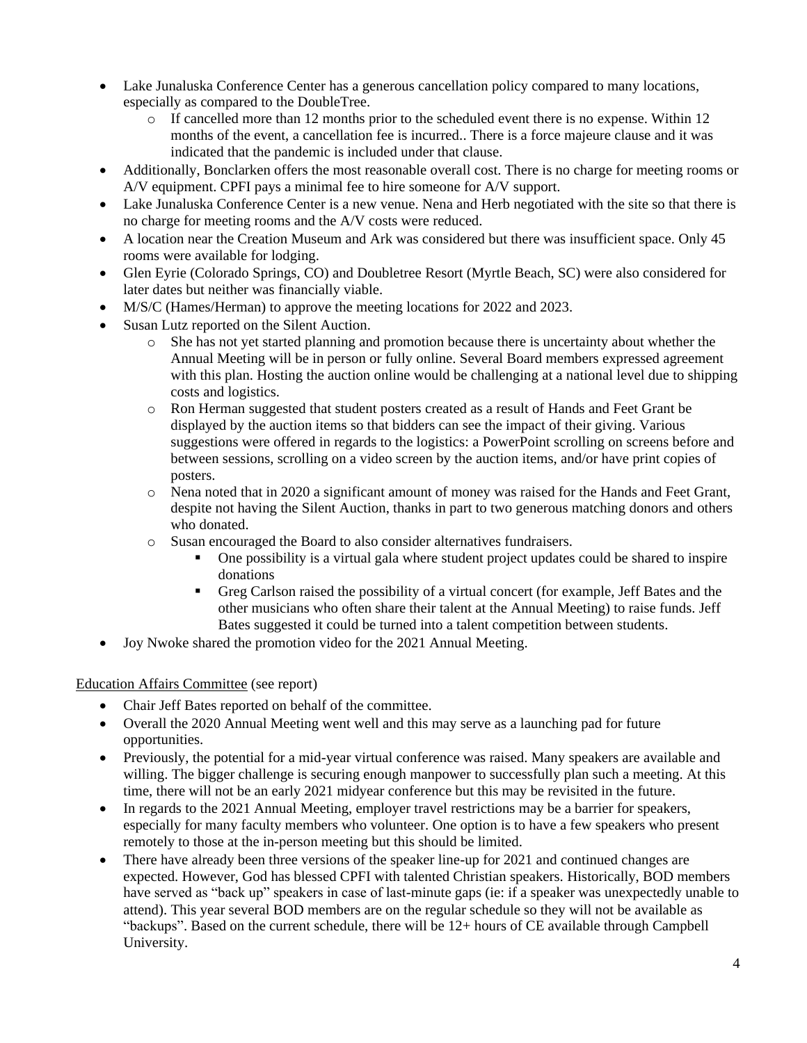- Lake Junaluska Conference Center has a generous cancellation policy compared to many locations, especially as compared to the DoubleTree.
	- $\circ$  If cancelled more than 12 months prior to the scheduled event there is no expense. Within 12 months of the event, a cancellation fee is incurred.. There is a force majeure clause and it was indicated that the pandemic is included under that clause.
- Additionally, Bonclarken offers the most reasonable overall cost. There is no charge for meeting rooms or A/V equipment. CPFI pays a minimal fee to hire someone for A/V support.
- Lake Junaluska Conference Center is a new venue. Nena and Herb negotiated with the site so that there is no charge for meeting rooms and the A/V costs were reduced.
- A location near the Creation Museum and Ark was considered but there was insufficient space. Only 45 rooms were available for lodging.
- Glen Eyrie (Colorado Springs, CO) and Doubletree Resort (Myrtle Beach, SC) were also considered for later dates but neither was financially viable.
- M/S/C (Hames/Herman) to approve the meeting locations for 2022 and 2023.
- Susan Lutz reported on the Silent Auction.
	- o She has not yet started planning and promotion because there is uncertainty about whether the Annual Meeting will be in person or fully online. Several Board members expressed agreement with this plan. Hosting the auction online would be challenging at a national level due to shipping costs and logistics.
	- o Ron Herman suggested that student posters created as a result of Hands and Feet Grant be displayed by the auction items so that bidders can see the impact of their giving. Various suggestions were offered in regards to the logistics: a PowerPoint scrolling on screens before and between sessions, scrolling on a video screen by the auction items, and/or have print copies of posters.
	- o Nena noted that in 2020 a significant amount of money was raised for the Hands and Feet Grant, despite not having the Silent Auction, thanks in part to two generous matching donors and others who donated.
	- o Susan encouraged the Board to also consider alternatives fundraisers.
		- One possibility is a virtual gala where student project updates could be shared to inspire donations
		- Greg Carlson raised the possibility of a virtual concert (for example, Jeff Bates and the other musicians who often share their talent at the Annual Meeting) to raise funds. Jeff Bates suggested it could be turned into a talent competition between students.
- Joy Nwoke shared the promotion video for the 2021 Annual Meeting.

#### Education Affairs Committee (see report)

- Chair Jeff Bates reported on behalf of the committee.
- Overall the 2020 Annual Meeting went well and this may serve as a launching pad for future opportunities.
- Previously, the potential for a mid-year virtual conference was raised. Many speakers are available and willing. The bigger challenge is securing enough manpower to successfully plan such a meeting. At this time, there will not be an early 2021 midyear conference but this may be revisited in the future.
- In regards to the 2021 Annual Meeting, employer travel restrictions may be a barrier for speakers, especially for many faculty members who volunteer. One option is to have a few speakers who present remotely to those at the in-person meeting but this should be limited.
- There have already been three versions of the speaker line-up for 2021 and continued changes are expected. However, God has blessed CPFI with talented Christian speakers. Historically, BOD members have served as "back up" speakers in case of last-minute gaps (ie: if a speaker was unexpectedly unable to attend). This year several BOD members are on the regular schedule so they will not be available as "backups". Based on the current schedule, there will be 12+ hours of CE available through Campbell University.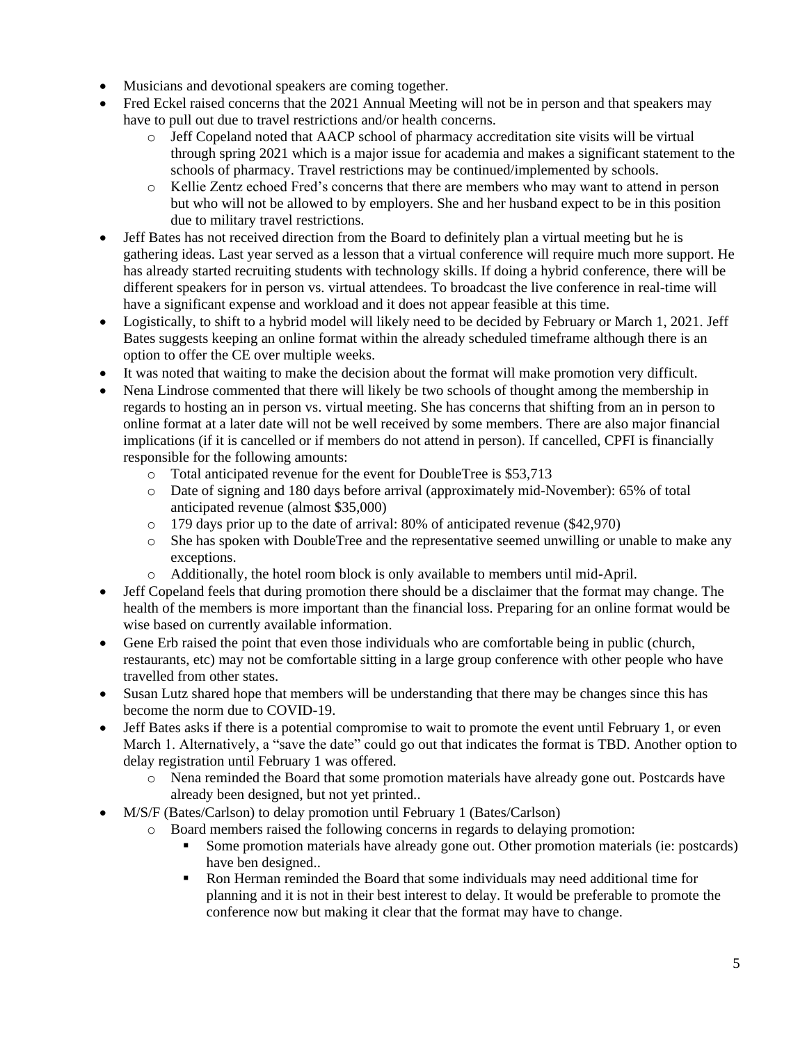- Musicians and devotional speakers are coming together.
- Fred Eckel raised concerns that the 2021 Annual Meeting will not be in person and that speakers may have to pull out due to travel restrictions and/or health concerns.
	- o Jeff Copeland noted that AACP school of pharmacy accreditation site visits will be virtual through spring 2021 which is a major issue for academia and makes a significant statement to the schools of pharmacy. Travel restrictions may be continued/implemented by schools.
	- o Kellie Zentz echoed Fred's concerns that there are members who may want to attend in person but who will not be allowed to by employers. She and her husband expect to be in this position due to military travel restrictions.
- Jeff Bates has not received direction from the Board to definitely plan a virtual meeting but he is gathering ideas. Last year served as a lesson that a virtual conference will require much more support. He has already started recruiting students with technology skills. If doing a hybrid conference, there will be different speakers for in person vs. virtual attendees. To broadcast the live conference in real-time will have a significant expense and workload and it does not appear feasible at this time.
- Logistically, to shift to a hybrid model will likely need to be decided by February or March 1, 2021. Jeff Bates suggests keeping an online format within the already scheduled timeframe although there is an option to offer the CE over multiple weeks.
- It was noted that waiting to make the decision about the format will make promotion very difficult.
- Nena Lindrose commented that there will likely be two schools of thought among the membership in regards to hosting an in person vs. virtual meeting. She has concerns that shifting from an in person to online format at a later date will not be well received by some members. There are also major financial implications (if it is cancelled or if members do not attend in person). If cancelled, CPFI is financially responsible for the following amounts:
	- o Total anticipated revenue for the event for DoubleTree is \$53,713
	- o Date of signing and 180 days before arrival (approximately mid-November): 65% of total anticipated revenue (almost \$35,000)
	- $\circ$  179 days prior up to the date of arrival: 80% of anticipated revenue (\$42,970)
	- o She has spoken with DoubleTree and the representative seemed unwilling or unable to make any exceptions.
	- o Additionally, the hotel room block is only available to members until mid-April.
- Jeff Copeland feels that during promotion there should be a disclaimer that the format may change. The health of the members is more important than the financial loss. Preparing for an online format would be wise based on currently available information.
- Gene Erb raised the point that even those individuals who are comfortable being in public (church, restaurants, etc) may not be comfortable sitting in a large group conference with other people who have travelled from other states.
- Susan Lutz shared hope that members will be understanding that there may be changes since this has become the norm due to COVID-19.
- Jeff Bates asks if there is a potential compromise to wait to promote the event until February 1, or even March 1. Alternatively, a "save the date" could go out that indicates the format is TBD. Another option to delay registration until February 1 was offered.
	- o Nena reminded the Board that some promotion materials have already gone out. Postcards have already been designed, but not yet printed..
- M/S/F (Bates/Carlson) to delay promotion until February 1 (Bates/Carlson)
	- o Board members raised the following concerns in regards to delaying promotion:
		- Some promotion materials have already gone out. Other promotion materials (ie: postcards) have ben designed..
		- Ron Herman reminded the Board that some individuals may need additional time for planning and it is not in their best interest to delay. It would be preferable to promote the conference now but making it clear that the format may have to change.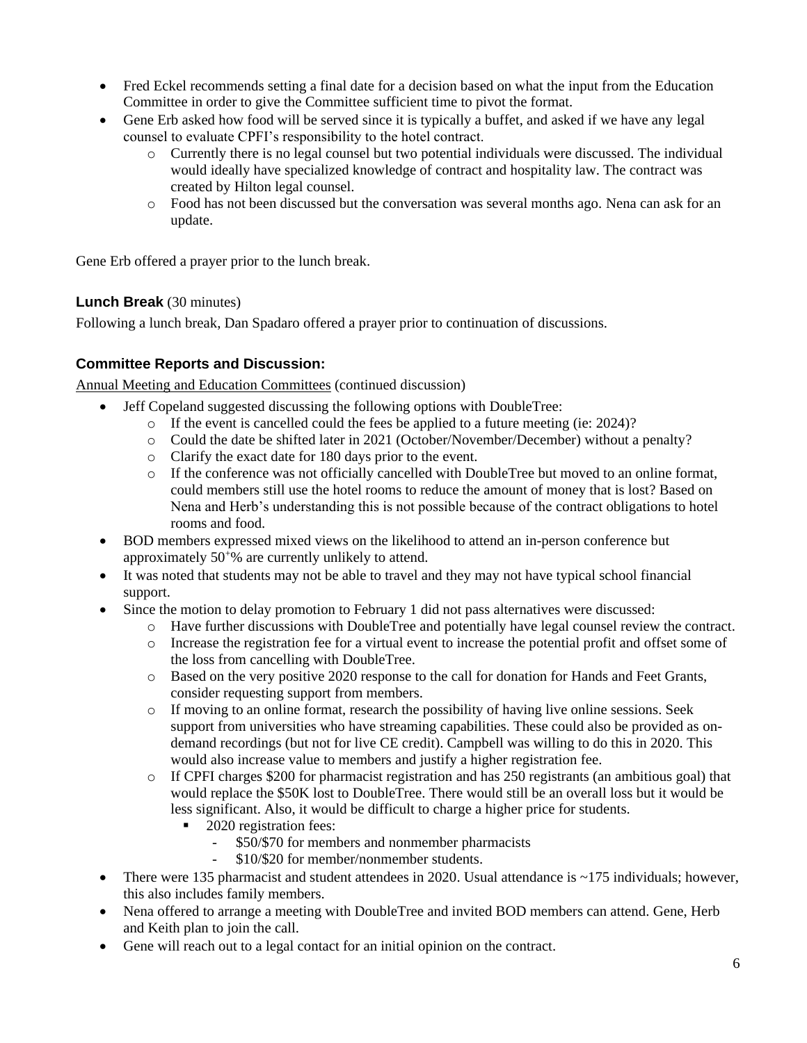- Fred Eckel recommends setting a final date for a decision based on what the input from the Education Committee in order to give the Committee sufficient time to pivot the format.
- Gene Erb asked how food will be served since it is typically a buffet, and asked if we have any legal counsel to evaluate CPFI's responsibility to the hotel contract.
	- o Currently there is no legal counsel but two potential individuals were discussed. The individual would ideally have specialized knowledge of contract and hospitality law. The contract was created by Hilton legal counsel.
	- o Food has not been discussed but the conversation was several months ago. Nena can ask for an update.

Gene Erb offered a prayer prior to the lunch break.

# **Lunch Break** (30 minutes)

Following a lunch break, Dan Spadaro offered a prayer prior to continuation of discussions.

## **Committee Reports and Discussion:**

Annual Meeting and Education Committees (continued discussion)

- Jeff Copeland suggested discussing the following options with DoubleTree:
	- o If the event is cancelled could the fees be applied to a future meeting (ie: 2024)?
	- o Could the date be shifted later in 2021 (October/November/December) without a penalty?
	- o Clarify the exact date for 180 days prior to the event.
	- o If the conference was not officially cancelled with DoubleTree but moved to an online format, could members still use the hotel rooms to reduce the amount of money that is lost? Based on Nena and Herb's understanding this is not possible because of the contract obligations to hotel rooms and food.
- BOD members expressed mixed views on the likelihood to attend an in-person conference but approximately  $50^{+}\%$  are currently unlikely to attend.
- It was noted that students may not be able to travel and they may not have typical school financial support.
- Since the motion to delay promotion to February 1 did not pass alternatives were discussed:
	- o Have further discussions with DoubleTree and potentially have legal counsel review the contract.
	- o Increase the registration fee for a virtual event to increase the potential profit and offset some of the loss from cancelling with DoubleTree.
	- o Based on the very positive 2020 response to the call for donation for Hands and Feet Grants, consider requesting support from members.
	- $\circ$  If moving to an online format, research the possibility of having live online sessions. Seek support from universities who have streaming capabilities. These could also be provided as ondemand recordings (but not for live CE credit). Campbell was willing to do this in 2020. This would also increase value to members and justify a higher registration fee.
	- o If CPFI charges \$200 for pharmacist registration and has 250 registrants (an ambitious goal) that would replace the \$50K lost to DoubleTree. There would still be an overall loss but it would be less significant. Also, it would be difficult to charge a higher price for students.
		- 2020 registration fees:
			- \$50/\$70 for members and nonmember pharmacists
			- \$10/\$20 for member/nonmember students.
- There were 135 pharmacist and student attendees in 2020. Usual attendance is ~175 individuals; however, this also includes family members.
- Nena offered to arrange a meeting with DoubleTree and invited BOD members can attend. Gene, Herb and Keith plan to join the call.
- Gene will reach out to a legal contact for an initial opinion on the contract.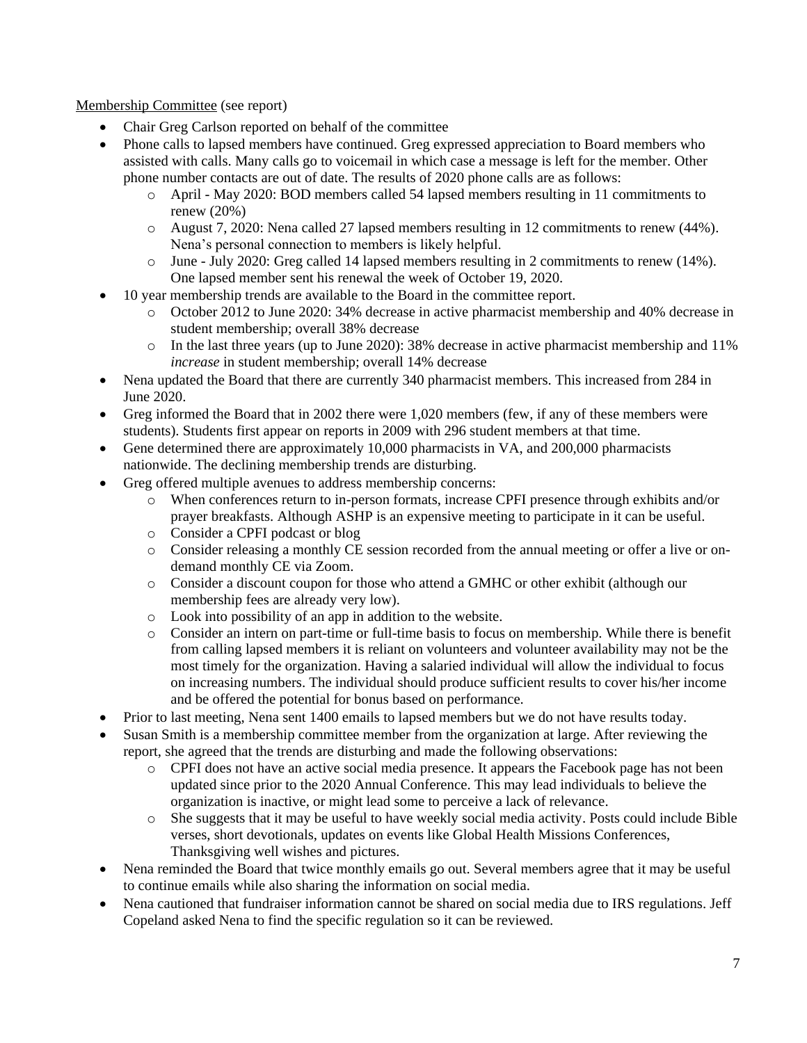Membership Committee (see report)

- Chair Greg Carlson reported on behalf of the committee
- Phone calls to lapsed members have continued. Greg expressed appreciation to Board members who assisted with calls. Many calls go to voicemail in which case a message is left for the member. Other phone number contacts are out of date. The results of 2020 phone calls are as follows:
	- o April May 2020: BOD members called 54 lapsed members resulting in 11 commitments to renew (20%)
	- o August 7, 2020: Nena called 27 lapsed members resulting in 12 commitments to renew (44%). Nena's personal connection to members is likely helpful.
	- o June July 2020: Greg called 14 lapsed members resulting in 2 commitments to renew (14%). One lapsed member sent his renewal the week of October 19, 2020.
- 10 year membership trends are available to the Board in the committee report.
	- o October 2012 to June 2020: 34% decrease in active pharmacist membership and 40% decrease in student membership; overall 38% decrease
	- o In the last three years (up to June 2020): 38% decrease in active pharmacist membership and 11% *increase* in student membership; overall 14% decrease
- Nena updated the Board that there are currently 340 pharmacist members. This increased from 284 in June 2020.
- Greg informed the Board that in 2002 there were 1,020 members (few, if any of these members were students). Students first appear on reports in 2009 with 296 student members at that time.
- Gene determined there are approximately 10,000 pharmacists in VA, and 200,000 pharmacists nationwide. The declining membership trends are disturbing.
- Greg offered multiple avenues to address membership concerns:
	- o When conferences return to in-person formats, increase CPFI presence through exhibits and/or prayer breakfasts. Although ASHP is an expensive meeting to participate in it can be useful.
	- o Consider a CPFI podcast or blog
	- o Consider releasing a monthly CE session recorded from the annual meeting or offer a live or ondemand monthly CE via Zoom.
	- o Consider a discount coupon for those who attend a GMHC or other exhibit (although our membership fees are already very low).
	- o Look into possibility of an app in addition to the website.
	- o Consider an intern on part-time or full-time basis to focus on membership. While there is benefit from calling lapsed members it is reliant on volunteers and volunteer availability may not be the most timely for the organization. Having a salaried individual will allow the individual to focus on increasing numbers. The individual should produce sufficient results to cover his/her income and be offered the potential for bonus based on performance.
- Prior to last meeting, Nena sent 1400 emails to lapsed members but we do not have results today.
- Susan Smith is a membership committee member from the organization at large. After reviewing the report, she agreed that the trends are disturbing and made the following observations:
	- o CPFI does not have an active social media presence. It appears the Facebook page has not been updated since prior to the 2020 Annual Conference. This may lead individuals to believe the organization is inactive, or might lead some to perceive a lack of relevance.
	- o She suggests that it may be useful to have weekly social media activity. Posts could include Bible verses, short devotionals, updates on events like Global Health Missions Conferences, Thanksgiving well wishes and pictures.
- Nena reminded the Board that twice monthly emails go out. Several members agree that it may be useful to continue emails while also sharing the information on social media.
- Nena cautioned that fundraiser information cannot be shared on social media due to IRS regulations. Jeff Copeland asked Nena to find the specific regulation so it can be reviewed.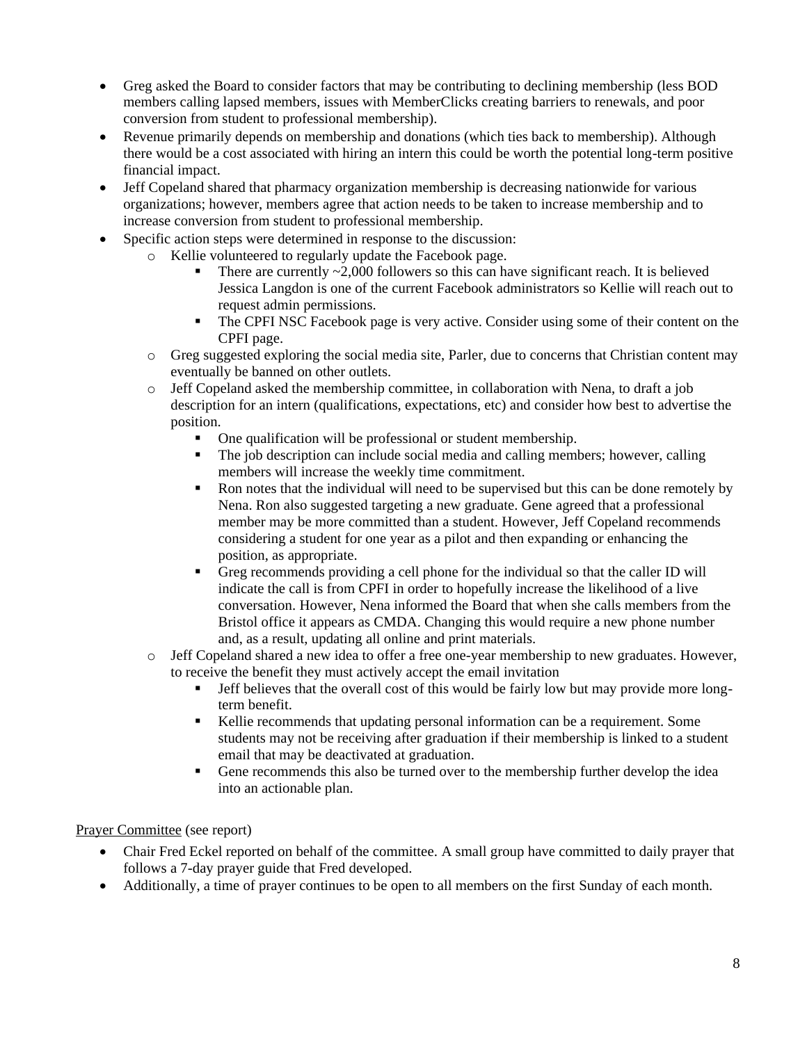- Greg asked the Board to consider factors that may be contributing to declining membership (less BOD) members calling lapsed members, issues with MemberClicks creating barriers to renewals, and poor conversion from student to professional membership).
- Revenue primarily depends on membership and donations (which ties back to membership). Although there would be a cost associated with hiring an intern this could be worth the potential long-term positive financial impact.
- Jeff Copeland shared that pharmacy organization membership is decreasing nationwide for various organizations; however, members agree that action needs to be taken to increase membership and to increase conversion from student to professional membership.
- Specific action steps were determined in response to the discussion:
	- o Kellie volunteered to regularly update the Facebook page.
		- There are currently  $\sim$ 2,000 followers so this can have significant reach. It is believed Jessica Langdon is one of the current Facebook administrators so Kellie will reach out to request admin permissions.
		- **The CPFI NSC Facebook page is very active. Consider using some of their content on the** CPFI page.
	- o Greg suggested exploring the social media site, Parler, due to concerns that Christian content may eventually be banned on other outlets.
	- $\circ$  Jeff Copeland asked the membership committee, in collaboration with Nena, to draft a job description for an intern (qualifications, expectations, etc) and consider how best to advertise the position.
		- One qualification will be professional or student membership.
		- The job description can include social media and calling members; however, calling members will increase the weekly time commitment.
		- Ron notes that the individual will need to be supervised but this can be done remotely by Nena. Ron also suggested targeting a new graduate. Gene agreed that a professional member may be more committed than a student. However, Jeff Copeland recommends considering a student for one year as a pilot and then expanding or enhancing the position, as appropriate.
		- Greg recommends providing a cell phone for the individual so that the caller ID will indicate the call is from CPFI in order to hopefully increase the likelihood of a live conversation. However, Nena informed the Board that when she calls members from the Bristol office it appears as CMDA. Changing this would require a new phone number and, as a result, updating all online and print materials.
	- o Jeff Copeland shared a new idea to offer a free one-year membership to new graduates. However, to receive the benefit they must actively accept the email invitation
		- **•** Jeff believes that the overall cost of this would be fairly low but may provide more longterm benefit.
		- Kellie recommends that updating personal information can be a requirement. Some students may not be receiving after graduation if their membership is linked to a student email that may be deactivated at graduation.
		- Gene recommends this also be turned over to the membership further develop the idea into an actionable plan.

Prayer Committee (see report)

- Chair Fred Eckel reported on behalf of the committee. A small group have committed to daily prayer that follows a 7-day prayer guide that Fred developed.
- Additionally, a time of prayer continues to be open to all members on the first Sunday of each month.